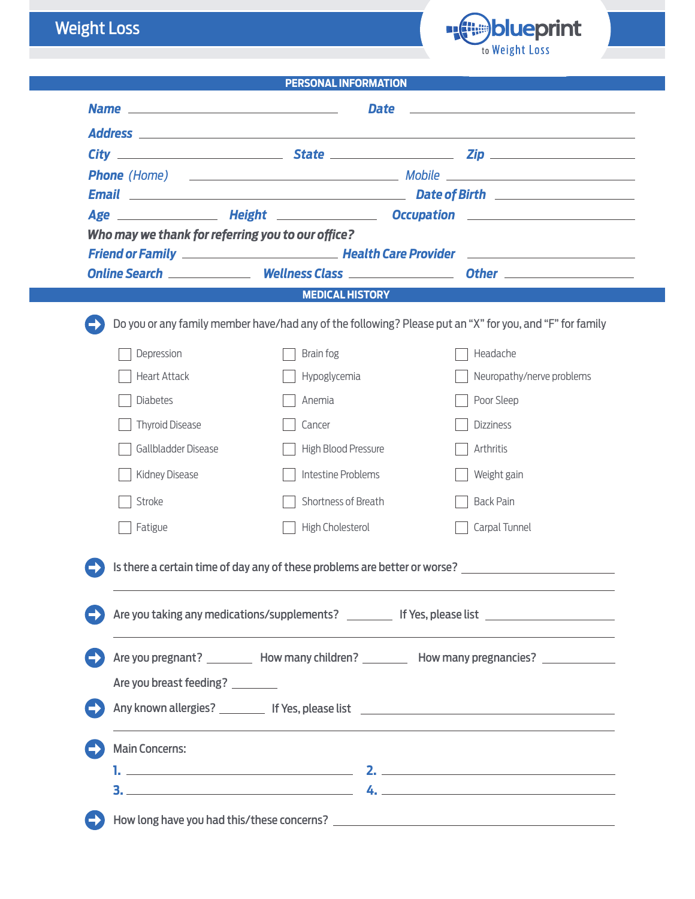## Weight Loss



|                                                   | <b>PERSONAL INFORMATION</b> |                                                                                                                                                                                                                                                                                                                  |
|---------------------------------------------------|-----------------------------|------------------------------------------------------------------------------------------------------------------------------------------------------------------------------------------------------------------------------------------------------------------------------------------------------------------|
|                                                   | Date                        |                                                                                                                                                                                                                                                                                                                  |
|                                                   |                             |                                                                                                                                                                                                                                                                                                                  |
|                                                   |                             |                                                                                                                                                                                                                                                                                                                  |
|                                                   |                             |                                                                                                                                                                                                                                                                                                                  |
|                                                   |                             | Email <b>Email Email Email Email Constant Constant Constant Constant Constant Constant Constant Constant Constant Constant Constant Constant Constant Constant Constant Constant Constant Constant Constant Constant Con</b><br>Age ________________ Height _______________ Occupation _________________________ |
| Who may we thank for referring you to our office? |                             |                                                                                                                                                                                                                                                                                                                  |
|                                                   |                             |                                                                                                                                                                                                                                                                                                                  |
|                                                   |                             |                                                                                                                                                                                                                                                                                                                  |
|                                                   | <b>MEDICAL HISTORY</b>      |                                                                                                                                                                                                                                                                                                                  |
|                                                   |                             | Do you or any family member have/had any of the following? Please put an "X" for you, and "F" for family                                                                                                                                                                                                         |
| Depression                                        | Brain fog                   | Headache                                                                                                                                                                                                                                                                                                         |
| <b>Heart Attack</b>                               | Hypoglycemia                | Neuropathy/nerve problems                                                                                                                                                                                                                                                                                        |
| <b>Diabetes</b>                                   | Anemia                      | Poor Sleep                                                                                                                                                                                                                                                                                                       |
| <b>Thyroid Disease</b>                            | Cancer                      | <b>Dizziness</b>                                                                                                                                                                                                                                                                                                 |
| Gallbladder Disease                               | High Blood Pressure         | Arthritis                                                                                                                                                                                                                                                                                                        |
| Kidney Disease                                    | Intestine Problems          | Weight gain                                                                                                                                                                                                                                                                                                      |
| Stroke                                            | Shortness of Breath         | <b>Back Pain</b>                                                                                                                                                                                                                                                                                                 |
| Fatigue                                           | High Cholesterol            | Carpal Tunnel                                                                                                                                                                                                                                                                                                    |
|                                                   |                             | Is there a certain time of day any of these problems are better or worse?<br>Are you taking any medications/supplements? ___________ If Yes, please list _______________________                                                                                                                                 |
| Are you breast feeding? ________                  |                             | Are you pregnant? __________ How many children? __________ How many pregnancies? _____________                                                                                                                                                                                                                   |
|                                                   |                             |                                                                                                                                                                                                                                                                                                                  |
| <b>Main Concerns:</b>                             |                             |                                                                                                                                                                                                                                                                                                                  |
|                                                   |                             |                                                                                                                                                                                                                                                                                                                  |